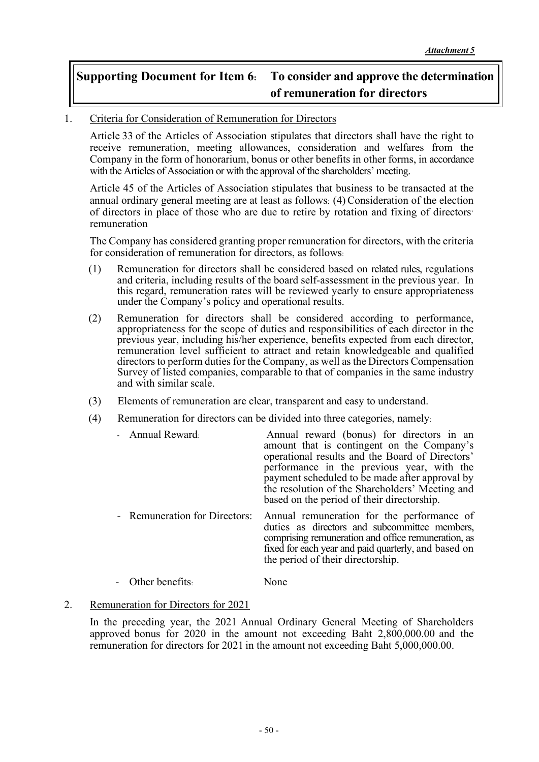## **Supporting Document for Item 6: To consider and approve the determination of remuneration for directors**

## 1. Criteria for Consideration of Remuneration for Directors

Article 33 of the Articles of Association stipulates that directors shall have the right to receive remuneration, meeting allowances, consideration and welfares from the Company in the form of honorarium, bonus or other benefits in other forms, in accordance with the Articles of Association or with the approval of the shareholders' meeting.

Article 45 of the Articles of Association stipulates that business to be transacted at the annual ordinary general meeting are at least as follows: (4) Consideration of the election of directors in place of those who are due to retire by rotation and fixing of directors' remuneration

The Company has considered granting proper remuneration for directors, with the criteria for consideration of remuneration for directors, as follows:

- (1) Remuneration for directors shall be considered based on related rules, regulations and criteria, including results of the board self-assessment in the previous year. In this regard, remuneration rates will be reviewed yearly to ensure appropriateness under the Company's policy and operational results.
- (2) Remuneration for directors shall be considered according to performance, appropriateness for the scope of duties and responsibilities of each director in the previous year, including his/her experience, benefits expected from each director, remuneration level sufficient to attract and retain knowledgeable and qualified directors to perform duties for the Company, as well as the Directors Compensation Survey of listed companies, comparable to that of companies in the same industry and with similar scale.
- (3) Elements of remuneration are clear, transparent and easy to understand.
- (4) Remuneration for directors can be divided into three categories, namely:

| - Annual Reward:              | Annual reward (bonus) for directors in an<br>amount that is contingent on the Company's<br>operational results and the Board of Directors'<br>performance in the previous year, with the<br>payment scheduled to be made after approval by<br>the resolution of the Shareholders' Meeting and<br>based on the period of their directorship. |
|-------------------------------|---------------------------------------------------------------------------------------------------------------------------------------------------------------------------------------------------------------------------------------------------------------------------------------------------------------------------------------------|
| - Remuneration for Directors: | Annual remuneration for the performance of<br>duties as directors and subcommittee members,<br>comprising remuneration and office remuneration, as<br>fixed for each year and paid quarterly, and based on<br>the period of their directorship.                                                                                             |

- Other benefits: None
- 2. Remuneration for Directors for 2021

In the preceding year, the 2021 Annual Ordinary General Meeting of Shareholders approved bonus for 2020 in the amount not exceeding Baht 2,800,000.00 and the remuneration for directors for 2021 in the amount not exceeding Baht 5,000,000.00.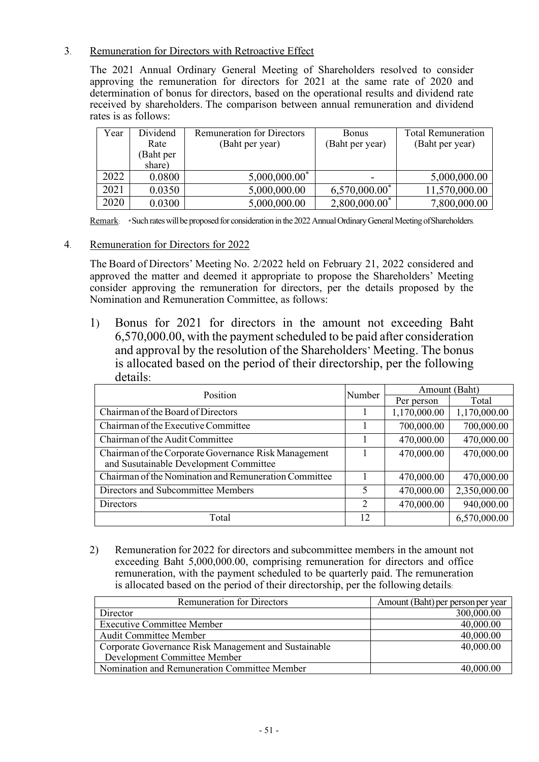## 3. Remuneration for Directors with Retroactive Effect

The 2021 Annual Ordinary General Meeting of Shareholders resolved to consider approving the remuneration for directors for 2021 at the same rate of 2020 and determination of bonus for directors, based on the operational results and dividend rate received by shareholders. The comparison between annual remuneration and dividend rates is as follows:

| Year | Dividend  | <b>Remuneration for Directors</b> | <b>Bonus</b>                | <b>Total Remuneration</b> |
|------|-----------|-----------------------------------|-----------------------------|---------------------------|
|      | Rate      | (Baht per year)                   | (Baht per year)             | (Baht per year)           |
|      | (Baht per |                                   |                             |                           |
|      | share)    |                                   |                             |                           |
| 2022 | 0.0800    | $5,000,000.00$ <sup>*</sup>       |                             | 5,000,000.00              |
| 2021 | 0.0350    | 5,000,000.00                      | $6,570,000.00$ <sup>*</sup> | 11,570,000.00             |
| 2020 | 0.0300    | 5,000,000.00                      | $2,800,000.00$ <sup>*</sup> | 7,800,000.00              |

Remark: \* Such rates will be proposed for consideration in the 2022Annual Ordinary General Meeting ofShareholders.

4. Remuneration for Directors for 2022

The Board of Directors' Meeting No. 2/2022 held on February 21, 2022 considered and approved the matter and deemed it appropriate to propose the Shareholders' Meeting consider approving the remuneration for directors, per the details proposed by the Nomination and Remuneration Committee, as follows:

1) Bonus for 2021 for directors in the amount not exceeding Baht 6,570,000.00, with the payment scheduled to be paid after consideration and approval by the resolution of the Shareholders' Meeting. The bonus is allocated based on the period of their directorship, per the following details:

| Position<br>Number                                                                             |  | Amount (Baht) |              |
|------------------------------------------------------------------------------------------------|--|---------------|--------------|
|                                                                                                |  | Per person    | Total        |
| Chairman of the Board of Directors                                                             |  | 1,170,000.00  | 1,170,000.00 |
| Chairman of the Executive Committee                                                            |  | 700,000.00    | 700,000.00   |
| Chairman of the Audit Committee                                                                |  | 470,000.00    | 470,000.00   |
| Chairman of the Corporate Governance Risk Management<br>and Susutainable Development Committee |  | 470,000.00    | 470,000.00   |
| Chairman of the Nomination and Remuneration Committee                                          |  | 470,000.00    | 470,000.00   |
| Directors and Subcommittee Members                                                             |  | 470,000.00    | 2,350,000.00 |
| Directors                                                                                      |  | 470,000.00    | 940,000.00   |
| Total                                                                                          |  |               | 6,570,000.00 |

2) Remuneration for 2022 for directors and subcommittee members in the amount not exceeding Baht 5,000,000.00, comprising remuneration for directors and office remuneration, with the payment scheduled to be quarterly paid. The remuneration is allocated based on the period of their directorship, per the following details:

| <b>Remuneration for Directors</b>                    | Amount (Baht) per person per year |
|------------------------------------------------------|-----------------------------------|
| Director                                             | 300,000.00                        |
| <b>Executive Committee Member</b>                    | 40,000.00                         |
| <b>Audit Committee Member</b>                        | 40,000.00                         |
| Corporate Governance Risk Management and Sustainable | 40,000.00                         |
| Development Committee Member                         |                                   |
| Nomination and Remuneration Committee Member         | 40,000.00                         |